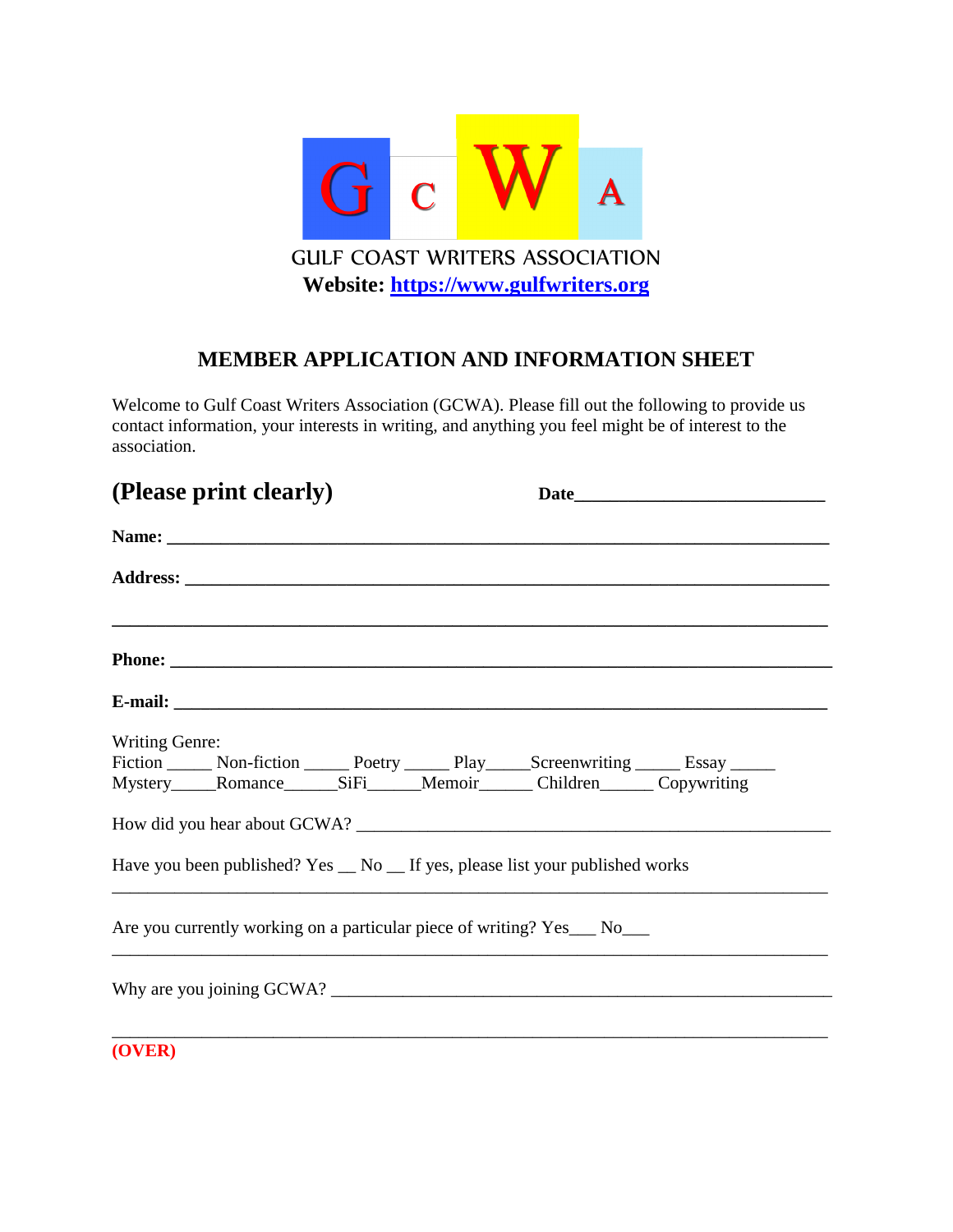

## **MEMBER APPLICATION AND INFORMATION SHEET**

Welcome to Gulf Coast Writers Association (GCWA). Please fill out the following to provide us contact information, your interests in writing, and anything you feel might be of interest to the association.

|                | (Please print clearly)                                                                                                                              |  |  |
|----------------|-----------------------------------------------------------------------------------------------------------------------------------------------------|--|--|
|                |                                                                                                                                                     |  |  |
|                |                                                                                                                                                     |  |  |
|                |                                                                                                                                                     |  |  |
|                |                                                                                                                                                     |  |  |
| Writing Genre: | Fiction _______ Non-fiction _______ Poetry _______ Play______Screenwriting _______ Essay ______<br>Mystery Romance SiFi Memoir Children Copywriting |  |  |
|                |                                                                                                                                                     |  |  |
|                | Have you been published? Yes _ No _ If yes, please list your published works                                                                        |  |  |
|                | Are you currently working on a particular piece of writing? Yes___ No___                                                                            |  |  |
|                |                                                                                                                                                     |  |  |
| (OVER)         |                                                                                                                                                     |  |  |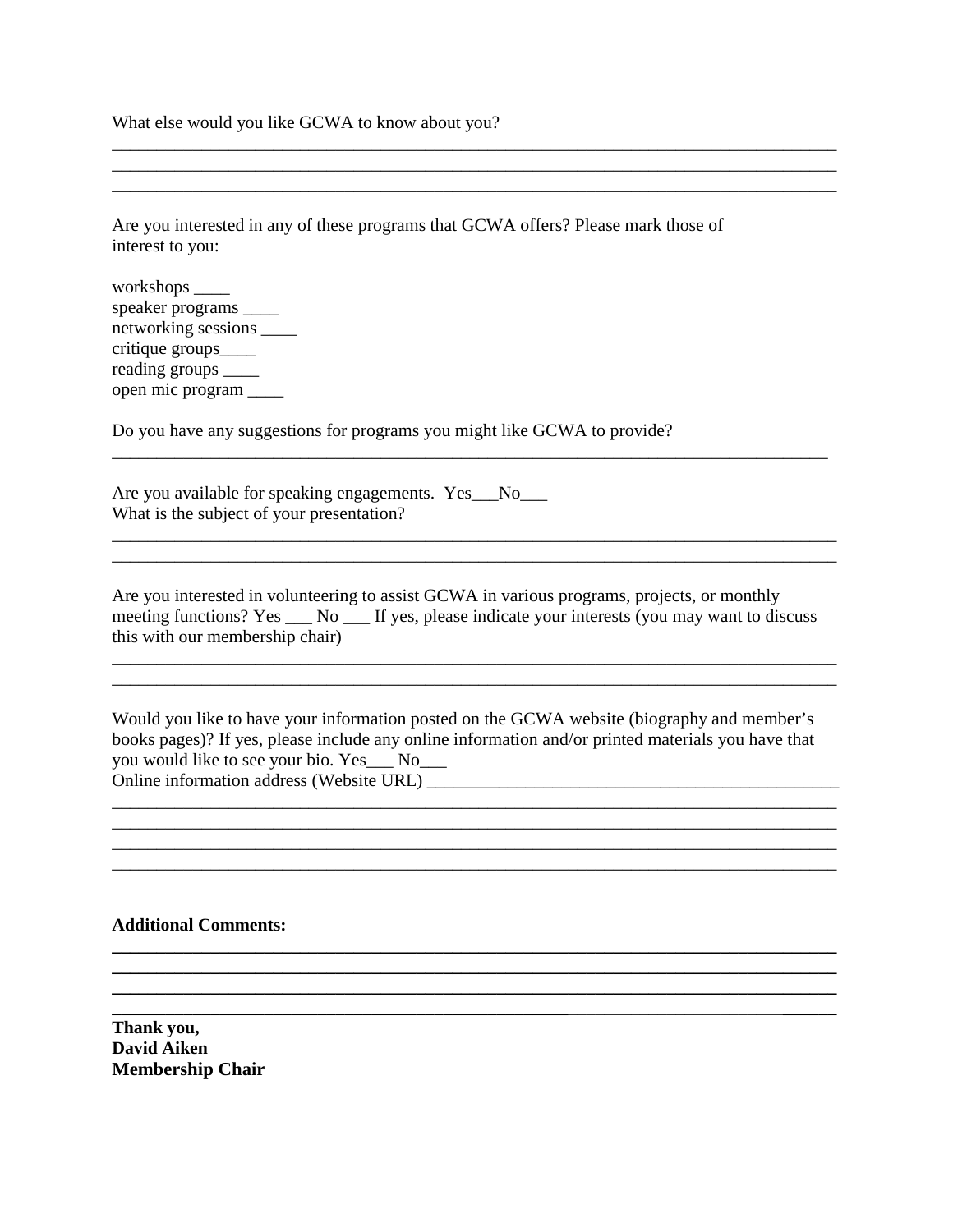What else would you like GCWA to know about you?

Are you interested in any of these programs that GCWA offers? Please mark those of interest to you:

\_\_\_\_\_\_\_\_\_\_\_\_\_\_\_\_\_\_\_\_\_\_\_\_\_\_\_\_\_\_\_\_\_\_\_\_\_\_\_\_\_\_\_\_\_\_\_\_\_\_\_\_\_\_\_\_\_\_\_\_\_\_\_\_\_\_\_\_\_\_\_\_\_\_\_\_\_\_\_\_\_

\_\_\_\_\_\_\_\_\_\_\_\_\_\_\_\_\_\_\_\_\_\_\_\_\_\_\_\_\_\_\_\_\_\_\_\_\_\_\_\_\_\_\_\_\_\_\_\_\_\_\_\_\_\_\_\_\_\_\_\_\_\_\_\_\_\_\_\_\_\_\_\_\_\_\_\_\_\_\_\_\_

workshops \_\_\_\_ speaker programs \_\_\_\_\_ networking sessions \_\_\_\_ critique groups\_\_\_\_ reading groups \_\_\_\_\_\_ open mic program \_\_\_\_

Do you have any suggestions for programs you might like GCWA to provide?

Are you available for speaking engagements. Yes\_\_No\_\_\_ What is the subject of your presentation?

\_\_\_\_\_\_\_\_\_\_\_\_\_\_\_\_\_\_\_\_\_\_\_\_\_\_\_\_\_\_\_\_\_\_\_\_\_\_\_\_\_\_\_\_\_\_\_\_\_\_\_\_\_\_\_\_\_\_\_\_\_\_\_\_\_\_\_\_\_\_\_\_\_\_\_\_\_\_\_\_\_

Are you interested in volunteering to assist GCWA in various programs, projects, or monthly meeting functions? Yes \_\_\_ No \_\_\_ If yes, please indicate your interests (you may want to discuss this with our membership chair)

\_\_\_\_\_\_\_\_\_\_\_\_\_\_\_\_\_\_\_\_\_\_\_\_\_\_\_\_\_\_\_\_\_\_\_\_\_\_\_\_\_\_\_\_\_\_\_\_\_\_\_\_\_\_\_\_\_\_\_\_\_\_\_\_\_\_\_\_\_\_\_\_\_\_\_\_\_\_\_\_\_ \_\_\_\_\_\_\_\_\_\_\_\_\_\_\_\_\_\_\_\_\_\_\_\_\_\_\_\_\_\_\_\_\_\_\_\_\_\_\_\_\_\_\_\_\_\_\_\_\_\_\_\_\_\_\_\_\_\_\_\_\_\_\_\_\_\_\_\_\_\_\_\_\_\_\_\_\_\_\_\_\_

\_\_\_\_\_\_\_\_\_\_\_\_\_\_\_\_\_\_\_\_\_\_\_\_\_\_\_\_\_\_\_\_\_\_\_\_\_\_\_\_\_\_\_\_\_\_\_\_\_\_\_\_\_\_\_\_\_\_\_\_\_\_\_\_\_\_\_\_\_\_\_\_\_\_\_\_\_\_\_\_\_

\_\_\_\_\_\_\_\_\_\_\_\_\_\_\_\_\_\_\_\_\_\_\_\_\_\_\_\_\_\_\_\_\_\_\_\_\_\_\_\_\_\_\_\_\_\_\_\_\_\_\_\_\_\_\_\_\_\_\_\_\_\_\_\_\_\_\_\_\_\_\_\_\_\_\_\_\_\_\_\_

Would you like to have your information posted on the GCWA website (biography and member's books pages)? If yes, please include any online information and/or printed materials you have that you would like to see your bio. Yes\_\_\_ No\_\_\_ Online information address (Website URL) \_\_\_\_\_\_\_\_\_\_\_\_\_\_\_\_\_\_\_\_\_\_\_\_\_\_\_\_\_\_\_\_\_\_\_\_\_\_\_\_\_\_\_\_\_\_

\_\_\_\_\_\_\_\_\_\_\_\_\_\_\_\_\_\_\_\_\_\_\_\_\_\_\_\_\_\_\_\_\_\_\_\_\_\_\_\_\_\_\_\_\_\_\_\_\_\_\_\_\_\_\_\_\_\_\_\_\_\_\_\_\_\_\_\_\_\_\_\_\_\_\_\_\_\_\_\_\_ \_\_\_\_\_\_\_\_\_\_\_\_\_\_\_\_\_\_\_\_\_\_\_\_\_\_\_\_\_\_\_\_\_\_\_\_\_\_\_\_\_\_\_\_\_\_\_\_\_\_\_\_\_\_\_\_\_\_\_\_\_\_\_\_\_\_\_\_\_\_\_\_\_\_\_\_\_\_\_\_\_ \_\_\_\_\_\_\_\_\_\_\_\_\_\_\_\_\_\_\_\_\_\_\_\_\_\_\_\_\_\_\_\_\_\_\_\_\_\_\_\_\_\_\_\_\_\_\_\_\_\_\_\_\_\_\_\_\_\_\_\_\_\_\_\_\_\_\_\_\_\_\_\_\_\_\_\_\_\_\_\_\_

**\_\_\_\_\_\_\_\_\_\_\_\_\_\_\_\_\_\_\_\_\_\_\_\_\_\_\_\_\_\_\_\_\_\_\_\_\_\_\_\_\_\_\_\_\_\_\_\_\_\_\_\_\_\_\_\_\_\_\_\_\_\_\_\_\_\_\_\_\_\_\_\_\_\_\_\_\_\_\_\_\_ \_\_\_\_\_\_\_\_\_\_\_\_\_\_\_\_\_\_\_\_\_\_\_\_\_\_\_\_\_\_\_\_\_\_\_\_\_\_\_\_\_\_\_\_\_\_\_\_\_\_\_\_\_\_\_\_\_\_\_\_\_\_\_\_\_\_\_\_\_\_\_\_\_\_\_\_\_\_\_\_\_ \_\_\_\_\_\_\_\_\_\_\_\_\_\_\_\_\_\_\_\_\_\_\_\_\_\_\_\_\_\_\_\_\_\_\_\_\_\_\_\_\_\_\_\_\_\_\_\_\_\_\_\_\_\_\_\_\_\_\_\_\_\_\_\_\_\_\_\_\_\_\_\_\_\_\_\_\_\_\_\_\_**

**Additional Comments:** 

**Thank you, David Aiken Membership Chair**